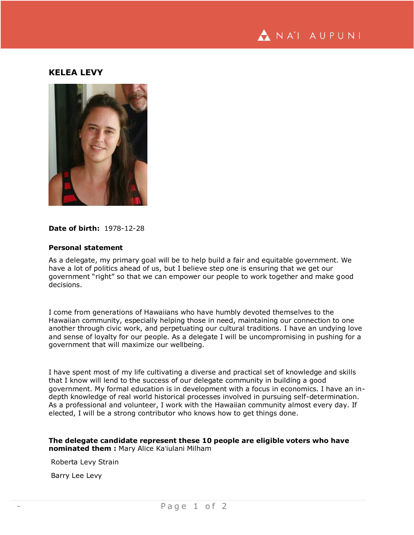

## **KELEA LEVY**



## **Date of birth:** 1978-12-28

## **Personal statement**

As a delegate, my primary goal will be to help build a fair and equitable government. We have a lot of politics ahead of us, but I believe step one is ensuring that we get our government "right" so that we can empower our people to work together and make good decisions.

I come from generations of Hawaiians who have humbly devoted themselves to the Hawaiian community, especially helping those in need, maintaining our connection to one another through civic work, and perpetuating our cultural traditions. I have an undying love and sense of loyalty for our people. As a delegate I will be uncompromising in pushing for a government that will maximize our wellbeing.

I have spent most of my life cultivating a diverse and practical set of knowledge and skills that I know will lend to the success of our delegate community in building a good government. My formal education is in development with a focus in economics. I have an indepth knowledge of real world historical processes involved in pursuing self-determination. As a professional and volunteer, I work with the Hawaiian community almost every day. If elected, I will be a strong contributor who knows how to get things done.

## **The delegate candidate represent these 10 people are eligible voters who have nominated them :** Mary Alice Kaʻiulani Milham

Roberta Levy Strain

Barry Lee Levy